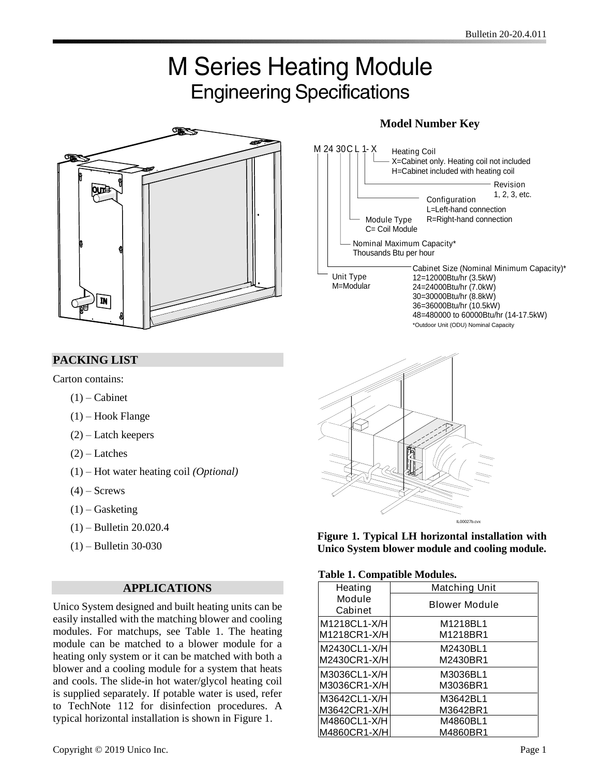# **M Series Heating Module Engineering Specifications**



### **PACKING LIST**

Carton contains:

- $(1)$  Cabinet
- $(1)$  Hook Flange
- (2) Latch keepers
- $(2)$  Latches
- (1) Hot water heating coil *(Optional)*
- $(4)$  Screws
- $(1)$  Gasketing
- (1) Bulletin 20.020.4
- (1) Bulletin 30-030

#### **APPLICATIONS**

Unico System designed and built heating units can be easily installed with the matching blower and cooling modules. For matchups, see Table 1. The heating module can be matched to a blower module for a heating only system or it can be matched with both a blower and a cooling module for a system that heats and cools. The slide-in hot water/glycol heating coil is supplied separately. If potable water is used, refer to TechNote 112 for disinfection procedures. A typical horizontal installation is shown in Figure 1.

#### **Model Number Key**





**Figure 1. Typical LH horizontal installation with Unico System blower module and cooling module.**

#### **Table 1. Compatible Modules.**

| Tuble 1. Computible Niouthesi |                      |  |  |  |  |  |  |
|-------------------------------|----------------------|--|--|--|--|--|--|
| Heating                       | <b>Matching Unit</b> |  |  |  |  |  |  |
| Module<br>Cabinet             | <b>Blower Module</b> |  |  |  |  |  |  |
| M1218CL1-X/H                  | M1218BL1             |  |  |  |  |  |  |
| M1218CR1-X/H                  | M1218BR1             |  |  |  |  |  |  |
| M2430CL1-X/H                  | M2430BL1             |  |  |  |  |  |  |
| M2430CR1-X/H                  | M2430BR1             |  |  |  |  |  |  |
| M3036CL1-X/H                  | M3036BL1             |  |  |  |  |  |  |
| M3036CR1-X/H                  | M3036BR1             |  |  |  |  |  |  |
| M3642CL1-X/H                  | M3642BL1             |  |  |  |  |  |  |
| M3642CR1-X/H                  | M3642BR1             |  |  |  |  |  |  |
| M4860CL1-X/H                  | M4860BL1             |  |  |  |  |  |  |
| M4860CR1-X/H                  | M4860BR1             |  |  |  |  |  |  |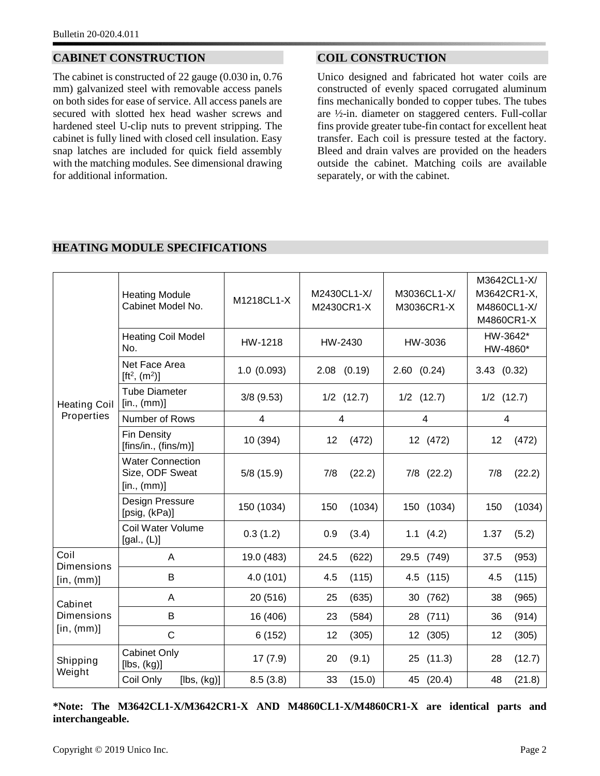#### **CABINET CONSTRUCTION**

The cabinet is constructed of 22 gauge (0.030 in, 0.76 mm) galvanized steel with removable access panels on both sides for ease of service. All access panels are secured with slotted hex head washer screws and hardened steel U-clip nuts to prevent stripping. The cabinet is fully lined with closed cell insulation. Easy snap latches are included for quick field assembly with the matching modules. See dimensional drawing for additional information.

#### **COIL CONSTRUCTION**

Unico designed and fabricated hot water coils are constructed of evenly spaced corrugated aluminum fins mechanically bonded to copper tubes. The tubes are ½-in. diameter on staggered centers. Full-collar fins provide greater tube-fin contact for excellent heat transfer. Each coil is pressure tested at the factory. Bleed and drain valves are provided on the headers outside the cabinet. Matching coils are available separately, or with the cabinet.

| M3642CL1-X/<br>M3036CL1-X/<br>M2430CL1-X/<br>M3642CR1-X,<br><b>Heating Module</b><br>M1218CL1-X<br>Cabinet Model No.<br>M4860CL1-X/<br>M2430CR1-X<br>M3036CR1-X<br>M4860CR1-X<br>HW-3642*<br><b>Heating Coil Model</b><br>HW-1218<br>HW-2430<br>HW-3036<br>No.<br>HW-4860*<br>Net Face Area<br>1.0(0.093)<br>$2.08$ $(0.19)$<br>3.43(0.32)<br>$2.60$ $(0.24)$<br>[ft <sup>2</sup> , $(m2)$ ]<br><b>Tube Diameter</b><br>$3/8$ (9.53)<br>$1/2$ $(12.7)$<br>$1/2$ $(12.7)$<br>$1/2$ $(12.7)$<br>[in., (mm)]<br><b>Heating Coil</b><br>Properties<br>Number of Rows<br>$\overline{4}$<br>4<br>4<br>$\overline{4}$<br><b>Fin Density</b><br>10 (394)<br>12<br>(472)<br>12 (472)<br>12<br>(472)<br>[fins/in., (fins/m)]<br><b>Water Connection</b><br>Size, ODF Sweat<br>5/8(15.9)<br>7/8<br>$7/8$ $(22.2)$<br>(22.2)<br>7/8<br>(22.2)<br>$[$ in., $(mm)]$<br>Design Pressure<br>150 (1034)<br>150<br>(1034)<br>150 (1034)<br>(1034)<br>150<br>[psig, (kPa)]<br>Coil Water Volume<br>0.3(1.2)<br>0.9<br>(3.4)<br>$1.1$ $(4.2)$<br>1.37<br>(5.2)<br>[gal., (L)]<br>Coil<br>19.0 (483)<br>24.5<br>(622)<br>(749)<br>(953)<br>29.5<br>37.5<br>A<br>Dimensions<br>B<br>4.0(101)<br>4.5<br>(115)<br>(115)<br>(115)<br>4.5<br>4.5<br>[in, (mm)]<br>20 (516)<br>(635)<br>Α<br>25<br>(762)<br>38<br>(965)<br>30<br>Cabinet<br><b>Dimensions</b><br>B<br>16 (406)<br>23<br>(584)<br>(711)<br>36<br>(914)<br>28<br>[in, (mm)]<br>$\mathsf{C}$<br>6(152)<br>12<br>(305)<br>12 (305)<br>12<br>(305)<br><b>Cabinet Only</b><br>17(7.9)<br>20<br>(9.1)<br>(11.3)<br>28<br>(12.7)<br>25<br>Shipping<br>$[$ lbs, $(kg)]$<br>Weight<br>8.5(3.8)<br>33<br>(15.0)<br>(20.4)<br>48<br>(21.8)<br>Coil Only<br>$[$ lbs, $(kg)]$<br>45 |  |  |  |  |
|------------------------------------------------------------------------------------------------------------------------------------------------------------------------------------------------------------------------------------------------------------------------------------------------------------------------------------------------------------------------------------------------------------------------------------------------------------------------------------------------------------------------------------------------------------------------------------------------------------------------------------------------------------------------------------------------------------------------------------------------------------------------------------------------------------------------------------------------------------------------------------------------------------------------------------------------------------------------------------------------------------------------------------------------------------------------------------------------------------------------------------------------------------------------------------------------------------------------------------------------------------------------------------------------------------------------------------------------------------------------------------------------------------------------------------------------------------------------------------------------------------------------------------------------------------------------------------------------------------------------------------------------------------------------------------------------------------|--|--|--|--|
|                                                                                                                                                                                                                                                                                                                                                                                                                                                                                                                                                                                                                                                                                                                                                                                                                                                                                                                                                                                                                                                                                                                                                                                                                                                                                                                                                                                                                                                                                                                                                                                                                                                                                                            |  |  |  |  |
|                                                                                                                                                                                                                                                                                                                                                                                                                                                                                                                                                                                                                                                                                                                                                                                                                                                                                                                                                                                                                                                                                                                                                                                                                                                                                                                                                                                                                                                                                                                                                                                                                                                                                                            |  |  |  |  |
|                                                                                                                                                                                                                                                                                                                                                                                                                                                                                                                                                                                                                                                                                                                                                                                                                                                                                                                                                                                                                                                                                                                                                                                                                                                                                                                                                                                                                                                                                                                                                                                                                                                                                                            |  |  |  |  |
|                                                                                                                                                                                                                                                                                                                                                                                                                                                                                                                                                                                                                                                                                                                                                                                                                                                                                                                                                                                                                                                                                                                                                                                                                                                                                                                                                                                                                                                                                                                                                                                                                                                                                                            |  |  |  |  |
|                                                                                                                                                                                                                                                                                                                                                                                                                                                                                                                                                                                                                                                                                                                                                                                                                                                                                                                                                                                                                                                                                                                                                                                                                                                                                                                                                                                                                                                                                                                                                                                                                                                                                                            |  |  |  |  |
|                                                                                                                                                                                                                                                                                                                                                                                                                                                                                                                                                                                                                                                                                                                                                                                                                                                                                                                                                                                                                                                                                                                                                                                                                                                                                                                                                                                                                                                                                                                                                                                                                                                                                                            |  |  |  |  |
|                                                                                                                                                                                                                                                                                                                                                                                                                                                                                                                                                                                                                                                                                                                                                                                                                                                                                                                                                                                                                                                                                                                                                                                                                                                                                                                                                                                                                                                                                                                                                                                                                                                                                                            |  |  |  |  |
|                                                                                                                                                                                                                                                                                                                                                                                                                                                                                                                                                                                                                                                                                                                                                                                                                                                                                                                                                                                                                                                                                                                                                                                                                                                                                                                                                                                                                                                                                                                                                                                                                                                                                                            |  |  |  |  |
|                                                                                                                                                                                                                                                                                                                                                                                                                                                                                                                                                                                                                                                                                                                                                                                                                                                                                                                                                                                                                                                                                                                                                                                                                                                                                                                                                                                                                                                                                                                                                                                                                                                                                                            |  |  |  |  |
|                                                                                                                                                                                                                                                                                                                                                                                                                                                                                                                                                                                                                                                                                                                                                                                                                                                                                                                                                                                                                                                                                                                                                                                                                                                                                                                                                                                                                                                                                                                                                                                                                                                                                                            |  |  |  |  |
|                                                                                                                                                                                                                                                                                                                                                                                                                                                                                                                                                                                                                                                                                                                                                                                                                                                                                                                                                                                                                                                                                                                                                                                                                                                                                                                                                                                                                                                                                                                                                                                                                                                                                                            |  |  |  |  |
|                                                                                                                                                                                                                                                                                                                                                                                                                                                                                                                                                                                                                                                                                                                                                                                                                                                                                                                                                                                                                                                                                                                                                                                                                                                                                                                                                                                                                                                                                                                                                                                                                                                                                                            |  |  |  |  |
|                                                                                                                                                                                                                                                                                                                                                                                                                                                                                                                                                                                                                                                                                                                                                                                                                                                                                                                                                                                                                                                                                                                                                                                                                                                                                                                                                                                                                                                                                                                                                                                                                                                                                                            |  |  |  |  |
|                                                                                                                                                                                                                                                                                                                                                                                                                                                                                                                                                                                                                                                                                                                                                                                                                                                                                                                                                                                                                                                                                                                                                                                                                                                                                                                                                                                                                                                                                                                                                                                                                                                                                                            |  |  |  |  |
|                                                                                                                                                                                                                                                                                                                                                                                                                                                                                                                                                                                                                                                                                                                                                                                                                                                                                                                                                                                                                                                                                                                                                                                                                                                                                                                                                                                                                                                                                                                                                                                                                                                                                                            |  |  |  |  |
|                                                                                                                                                                                                                                                                                                                                                                                                                                                                                                                                                                                                                                                                                                                                                                                                                                                                                                                                                                                                                                                                                                                                                                                                                                                                                                                                                                                                                                                                                                                                                                                                                                                                                                            |  |  |  |  |

### **HEATING MODULE SPECIFICATIONS**

**\*Note: The M3642CL1-X/M3642CR1-X AND M4860CL1-X/M4860CR1-X are identical parts and interchangeable.**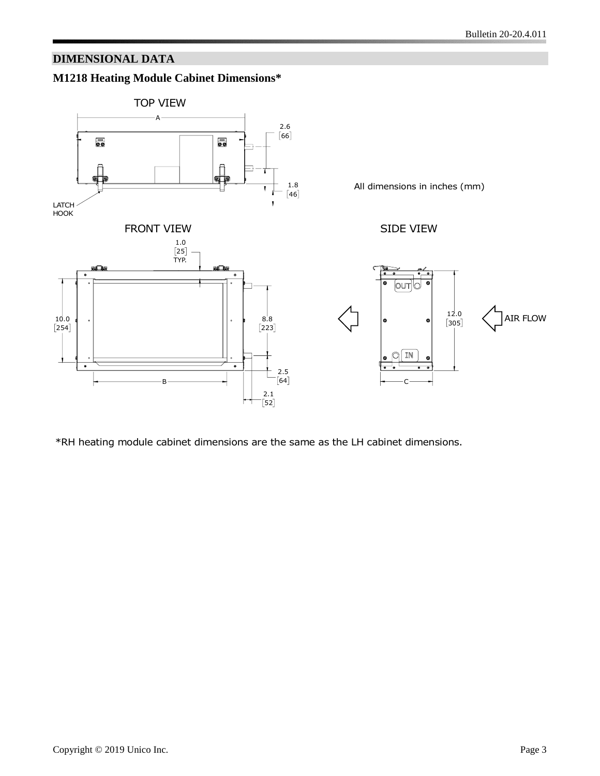## **DIMENSIONAL DATA**



\*RH heating module cabinet dimensions are the same as the LH cabinet dimensions.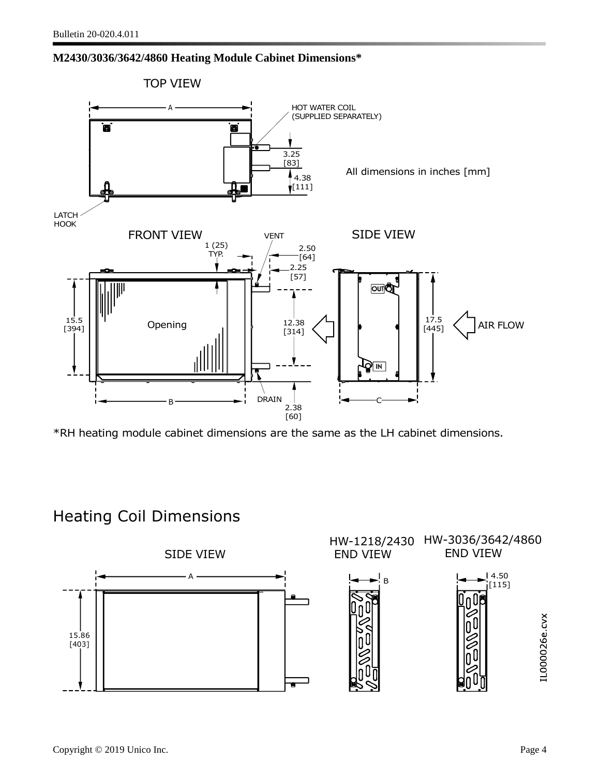#### **M2430/3036/3642/4860 Heating Module Cabinet Dimensions\***



\*RH heating module cabinet dimensions are the same as the LH cabinet dimensions.

# Heating Coil Dimensions

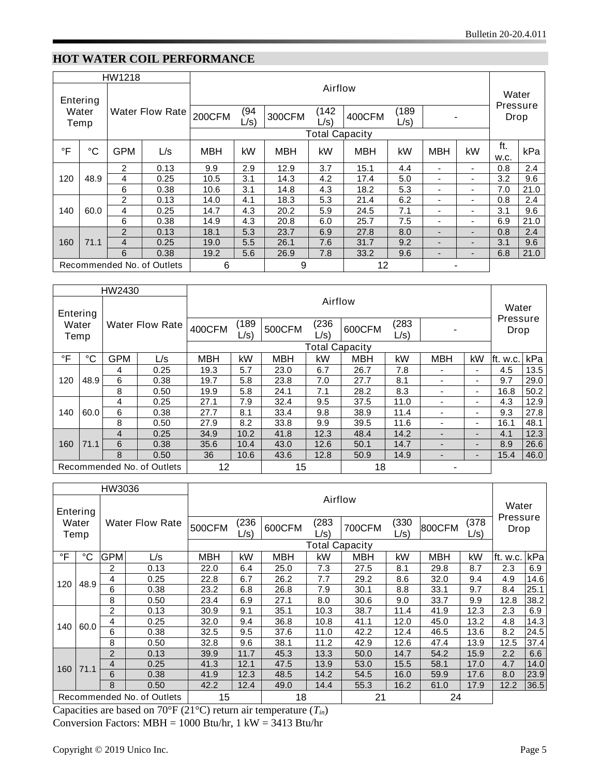# **HOT WATER COIL PERFORMANCE**

| HW1218                     |                 |                        |      |               |              |            |                       |            |                 |                          |                          |                  |      |
|----------------------------|-----------------|------------------------|------|---------------|--------------|------------|-----------------------|------------|-----------------|--------------------------|--------------------------|------------------|------|
| Entering<br>Water<br>Temp  |                 | <b>Water Flow Rate</b> |      | Airflow       |              |            |                       |            |                 |                          |                          | Water            |      |
|                            |                 |                        |      | <b>200CFM</b> | (94)<br>L/s) | 300CFM     | (142<br>$L/s$ )       | 400CFM     | (189<br>$L/s$ ) |                          |                          | Pressure<br>Drop |      |
|                            |                 |                        |      |               |              |            | <b>Total Capacity</b> |            |                 |                          |                          |                  |      |
| $\mathsf{P}$               | $\rm ^{\circ}C$ | <b>GPM</b>             | L/s  | <b>MBH</b>    | kW           | <b>MBH</b> | kW                    | <b>MBH</b> | kW              | <b>MBH</b>               | kW                       | ft.<br>W.C.      | kPa  |
|                            | 48.9            | $\overline{2}$         | 0.13 | 9.9           | 2.9          | 12.9       | 3.7                   | 15.1       | 4.4             | $\overline{\phantom{a}}$ | $\overline{\phantom{a}}$ | 0.8              | 2.4  |
| 120                        |                 | 4                      | 0.25 | 10.5          | 3.1          | 14.3       | 4.2                   | 17.4       | 5.0             | $\overline{\phantom{a}}$ | $\overline{\phantom{0}}$ | 3.2              | 9.6  |
|                            |                 | 6                      | 0.38 | 10.6          | 3.1          | 14.8       | 4.3                   | 18.2       | 5.3             | $\overline{\phantom{a}}$ | $\overline{\phantom{0}}$ | 7.0              | 21.0 |
|                            |                 | 2                      | 0.13 | 14.0          | 4.1          | 18.3       | 5.3                   | 21.4       | 6.2             | $\overline{\phantom{a}}$ | ٠                        | 0.8              | 2.4  |
| 140                        | 60.0            | 4                      | 0.25 | 14.7          | 4.3          | 20.2       | 5.9                   | 24.5       | 7.1             | $\overline{\phantom{a}}$ |                          | 3.1              | 9.6  |
|                            |                 | 6                      | 0.38 | 14.9          | 4.3          | 20.8       | 6.0                   | 25.7       | 7.5             | $\overline{\phantom{a}}$ | $\overline{\phantom{0}}$ | 6.9              | 21.0 |
|                            |                 | 2                      | 0.13 | 18.1          | 5.3          | 23.7       | 6.9                   | 27.8       | 8.0             | $\overline{\phantom{a}}$ | $\overline{\phantom{0}}$ | 0.8              | 2.4  |
| 160                        | 71.1            | $\overline{4}$         | 0.25 | 19.0          | 5.5          | 26.1       | 7.6                   | 31.7       | 9.2             | $\overline{\phantom{a}}$ |                          | 3.1              | 9.6  |
|                            |                 | 6                      | 0.38 | 19.2          | 5.6          | 26.9       | 7.8                   | 33.2       | 9.6             | $\overline{\phantom{a}}$ | $\overline{\phantom{0}}$ | 6.8              | 21.0 |
| Recommended No. of Outlets |                 | 6                      |      | 9             |              |            | 12                    |            |                 |                          |                          |                  |      |

| HW2430                     |      |                        |          |            |                 |            |              |                       |                 |                          |    |                  |      |
|----------------------------|------|------------------------|----------|------------|-----------------|------------|--------------|-----------------------|-----------------|--------------------------|----|------------------|------|
| Entering<br>Water<br>Temp  |      | <b>Water Flow Rate</b> |          |            | Airflow         |            |              |                       |                 |                          |    |                  |      |
|                            |      |                        |          | 400CFM     | (189<br>$L/s$ ) | 500CFM     | (236<br>L/s) | 600CFM                | (283<br>$L/s$ ) |                          |    | Pressure<br>Drop |      |
|                            |      |                        |          |            |                 |            |              | <b>Total Capacity</b> |                 |                          |    |                  |      |
| °F                         | °C   | GPM                    | L/s      | <b>MBH</b> | kW              | <b>MBH</b> | kW           | <b>MBH</b>            | kW              | <b>MBH</b>               | kW | ft. w.c.         | kPa  |
|                            |      | 4                      | 0.25     | 19.3       | 5.7             | 23.0       | 6.7          | 26.7                  | 7.8             |                          | ۰. | 4.5              | 13.5 |
| 120                        | 48.9 | 6                      | 0.38     | 19.7       | 5.8             | 23.8       | 7.0          | 27.7                  | 8.1             |                          | ۰. | 9.7              | 29.0 |
|                            |      | 8                      | 0.50     | 19.9       | 5.8             | 24.1       | 7.1          | 28.2                  | 8.3             |                          | ٠  | 16.8             | 50.2 |
|                            |      | 4                      | 0.25     | 27.1       | 7.9             | 32.4       | 9.5          | 37.5                  | 11.0            |                          | ۰  | 4.3              | 12.9 |
| 140                        | 60.0 | 6                      | 0.38     | 27.7       | 8.1             | 33.4       | 9.8          | 38.9                  | 11.4            |                          | ۰. | 9.3              | 27.8 |
|                            |      | 8                      | 0.50     | 27.9       | 8.2             | 33.8       | 9.9          | 39.5                  | 11.6            | $\overline{\phantom{0}}$ | ۰. | 16.1             | 48.1 |
|                            |      | 4                      | 0.25     | 34.9       | 10.2            | 41.8       | 12.3         | 48.4                  | 14.2            |                          | -  | 4.1              | 12.3 |
| 160                        | 71.1 | 6                      | 0.38     | 35.6       | 10.4            | 43.0       | 12.6         | 50.1                  | 14.7            |                          | -  | 8.9              | 26.6 |
|                            |      | 8                      | 0.50     | 36         | 10.6            | 43.6       | 12.8         | 50.9                  | 14.9            |                          |    | 15.4             | 46.0 |
| Recommended No. of Outlets |      | 12                     | 18<br>15 |            |                 |            |              |                       |                 |                          |    |                  |      |

| HW3036                     |               |                        |      |         |                       |            |              |        |                 |        |                  |                  |       |      |      |      |      |      |      |     |      |
|----------------------------|---------------|------------------------|------|---------|-----------------------|------------|--------------|--------|-----------------|--------|------------------|------------------|-------|------|------|------|------|------|------|-----|------|
| Entering                   |               |                        |      | Airflow |                       |            |              |        |                 |        |                  |                  | Water |      |      |      |      |      |      |     |      |
|                            | Water<br>Temp | <b>Water Flow Rate</b> |      | 500CFM  | (236)<br>L/s)         | 600CFM     | (283<br>L/s) | 700CFM | (330<br>$L/s$ ) | 800CFM | (378)<br>$L/s$ ) | Pressure<br>Drop |       |      |      |      |      |      |      |     |      |
|                            |               |                        |      |         | <b>Total Capacity</b> |            |              |        |                 |        |                  |                  |       |      |      |      |      |      |      |     |      |
| °F                         | °C            | <b>GPM</b>             | L/s  | MBH     | kW                    | <b>MBH</b> | kW           | MBH    | kW              | MBH    | kW               | ft. w.c.         | kPa   |      |      |      |      |      |      |     |      |
|                            |               | 2                      | 0.13 | 22.0    | 6.4                   | 25.0       | 7.3          | 27.5   | 8.1             | 29.8   | 8.7              | 2.3              | 6.9   |      |      |      |      |      |      |     |      |
|                            | 48.9          | 4                      | 0.25 | 22.8    | 6.7                   | 26.2       | 7.7          | 29.2   | 8.6             | 32.0   | 9.4              | 4.9              | 14.6  |      |      |      |      |      |      |     |      |
| 120                        |               | 6                      | 0.38 | 23.2    | 6.8                   | 26.8       | 7.9          | 30.1   | 8.8             | 33.1   | 9.7              | 8.4              | 25.1  |      |      |      |      |      |      |     |      |
|                            |               | 8                      | 0.50 | 23.4    | 6.9                   | 27.1       | 8.0          | 30.6   | 9.0             | 33.7   | 9.9              | 12.8             | 38.2  |      |      |      |      |      |      |     |      |
|                            |               | 2                      | 0.13 | 30.9    | 9.1                   | 35.1       | 10.3         | 38.7   | 11.4            | 41.9   | 12.3             | 2.3              | 6.9   |      |      |      |      |      |      |     |      |
| 140                        |               | 4                      | 0.25 | 32.0    | 9.4                   | 36.8       | 10.8         | 41.1   | 12.0            | 45.0   | 13.2             | 4.8              | 14.3  |      |      |      |      |      |      |     |      |
|                            |               |                        |      | 60.0    |                       |            |              |        |                 | 6      | 0.38             | 32.5             | 9.5   | 37.6 | 11.0 | 42.2 | 12.4 | 46.5 | 13.6 | 8.2 | 24.5 |
|                            |               | 8                      | 0.50 | 32.8    | 9.6                   | 38.1       | 11.2         | 42.9   | 12.6            | 47.4   | 13.9             | 12.5             | 37.4  |      |      |      |      |      |      |     |      |
|                            |               | 2                      | 0.13 | 39.9    | 11.7                  | 45.3       | 13.3         | 50.0   | 14.7            | 54.2   | 15.9             | 2.2              | 6.6   |      |      |      |      |      |      |     |      |
| 160                        | 71.1          | 4                      | 0.25 | 41.3    | 12.1                  | 47.5       | 13.9         | 53.0   | 15.5            | 58.1   | 17.0             | 4.7              | 14.0  |      |      |      |      |      |      |     |      |
|                            |               | 6                      | 0.38 | 41.9    | 12.3                  | 48.5       | 14.2         | 54.5   | 16.0            | 59.9   | 17.6             | 8.0              | 23.9  |      |      |      |      |      |      |     |      |
|                            |               | 8                      | 0.50 | 42.2    | 12.4                  | 49.0       | 14.4         | 55.3   | 16.2            | 61.0   | 17.9             | 12.2             | 36.5  |      |      |      |      |      |      |     |      |
| Recommended No. of Outlets |               | 18<br>15               |      |         | 21<br>24              |            |              |        |                 |        |                  |                  |       |      |      |      |      |      |      |     |      |

Capacities are based on 70°F (21°C) return air temperature (*Tin*) Conversion Factors:  $MBH = 1000$  Btu/hr, 1 kW = 3413 Btu/hr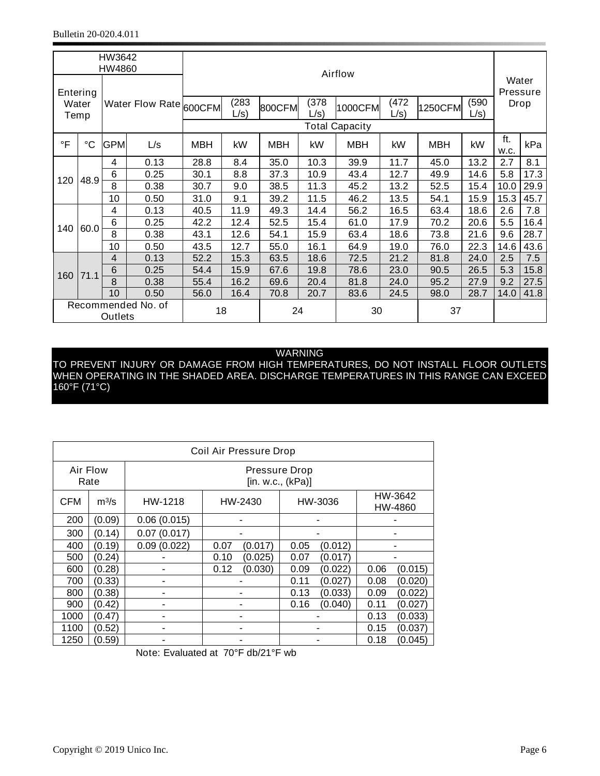| HW3642                        |             |                |                        |            |         |        |         |                       |         |         |         |       |      |      |      |      |     |      |
|-------------------------------|-------------|----------------|------------------------|------------|---------|--------|---------|-----------------------|---------|---------|---------|-------|------|------|------|------|-----|------|
| HW4860                        |             |                |                        |            |         |        | Airflow |                       |         |         |         |       |      |      |      |      |     |      |
|                               |             |                |                        |            |         |        |         |                       |         |         |         | Water |      |      |      |      |     |      |
|                               | Entering    |                |                        |            |         |        |         |                       |         |         |         |       |      |      |      |      |     |      |
|                               | Water       |                | Water Flow Rate 600CFM |            | (283)   | 800CFM | (378    | 1000CFM               | (472)   | 1250CFM | (590    | Drop  |      |      |      |      |     |      |
|                               | Temp        |                |                        |            | $L/s$ ) |        | $L/s$ ) |                       | $L/s$ ) |         | $L/s$ ) |       |      |      |      |      |     |      |
|                               |             |                |                        |            |         |        |         | <b>Total Capacity</b> |         |         |         |       |      |      |      |      |     |      |
| $\circ$ F                     | $^{\circ}C$ | <b>GPM</b>     | L/s                    | <b>MBH</b> | kW      | MBH    | kW      | <b>MBH</b>            | kW      | MBH     | kW      | ft.   | kPa  |      |      |      |     |      |
|                               |             |                |                        |            |         |        |         |                       |         |         |         | w.c.  |      |      |      |      |     |      |
|                               |             | 4              | 0.13                   | 28.8       | 8.4     | 35.0   | 10.3    | 39.9                  | 11.7    | 45.0    | 13.2    | 2.7   | 8.1  |      |      |      |     |      |
| 120                           | 48.9        | 6              | 0.25                   | 30.1       | 8.8     | 37.3   | 10.9    | 43.4                  | 12.7    | 49.9    | 14.6    | 5.8   | 17.3 |      |      |      |     |      |
|                               |             | 8              | 0.38                   | 30.7       | 9.0     | 38.5   | 11.3    | 45.2                  | 13.2    | 52.5    | 15.4    | 10.0  | 29.9 |      |      |      |     |      |
|                               |             | 10             | 0.50                   | 31.0       | 9.1     | 39.2   | 11.5    | 46.2                  | 13.5    | 54.1    | 15.9    | 15.3  | 45.7 |      |      |      |     |      |
|                               |             | 4              | 0.13                   | 40.5       | 11.9    | 49.3   | 14.4    | 56.2                  | 16.5    | 63.4    | 18.6    | 2.6   | 7.8  |      |      |      |     |      |
|                               |             | $\,6$          | 0.25                   | 42.2       | 12.4    | 52.5   | 15.4    | 61.0                  | 17.9    | 70.2    | 20.6    | 5.5   | 16.4 |      |      |      |     |      |
| 140                           | 60.0        |                |                        |            |         |        | 8       | 0.38                  | 43.1    | 12.6    | 54.1    | 15.9  | 63.4 | 18.6 | 73.8 | 21.6 | 9.6 | 28.7 |
|                               |             | 10             | 0.50                   | 43.5       | 12.7    | 55.0   | 16.1    | 64.9                  | 19.0    | 76.0    | 22.3    | 14.6  | 43.6 |      |      |      |     |      |
|                               |             | $\overline{4}$ | 0.13                   | 52.2       | 15.3    | 63.5   | 18.6    | 72.5                  | 21.2    | 81.8    | 24.0    | 2.5   | 7.5  |      |      |      |     |      |
| 160                           | 71.1        | $6\phantom{1}$ | 0.25                   | 54.4       | 15.9    | 67.6   | 19.8    | 78.6                  | 23.0    | 90.5    | 26.5    | 5.3   | 15.8 |      |      |      |     |      |
|                               |             | 8              | 0.38                   | 55.4       | 16.2    | 69.6   | 20.4    | 81.8                  | 24.0    | 95.2    | 27.9    | 9.2   | 27.5 |      |      |      |     |      |
|                               |             | 10             | 0.50                   | 56.0       | 16.4    | 70.8   | 20.7    | 83.6                  | 24.5    | 98.0    | 28.7    | 14.0  | 41.8 |      |      |      |     |      |
| Recommended No. of<br>Outlets |             | 18             |                        |            | 24      |        | 30      |                       | 37      |         |         |       |      |      |      |      |     |      |

#### WARNING

TO PREVENT INJURY OR DAMAGE FROM HIGH TEMPERATURES, DO NOT INSTALL FLOOR OUTLETS WHEN OPERATING IN THE SHADED AREA. DISCHARGE TEMPERATURES IN THIS RANGE CAN EXCEED 160°F (71°C)

| Coil Air Pressure Drop |         |             |                    |                 |                 |  |  |  |  |  |  |
|------------------------|---------|-------------|--------------------|-----------------|-----------------|--|--|--|--|--|--|
| Air Flow<br>Rate       |         |             |                    |                 |                 |  |  |  |  |  |  |
| <b>CFM</b>             | $m^3/s$ | HW-1218     | HW-3036<br>HW-2430 |                 |                 |  |  |  |  |  |  |
| 200                    | (0.09)  | 0.06(0.015) |                    |                 |                 |  |  |  |  |  |  |
| 300                    | (0.14)  | 0.07(0.017) |                    |                 |                 |  |  |  |  |  |  |
| 400                    | (0.19)  | 0.09(0.022) | 0.07<br>(0.017)    | 0.05<br>(0.012) |                 |  |  |  |  |  |  |
| 500                    | (0.24)  |             | (0.025)<br>0.10    | 0.07<br>(0.017) |                 |  |  |  |  |  |  |
| 600                    | (0.28)  |             | (0.030)<br>0.12    | 0.09<br>(0.022) | 0.06<br>(0.015) |  |  |  |  |  |  |
| 700                    | (0.33)  |             |                    | 0.11<br>(0.027) | 0.08<br>(0.020) |  |  |  |  |  |  |
| 800                    | (0.38)  |             |                    | 0.13<br>(0.033) | 0.09<br>(0.022) |  |  |  |  |  |  |
| 900                    | (0.42)  |             |                    | (0.040)<br>0.16 | 0.11<br>(0.027) |  |  |  |  |  |  |
| 1000                   | (0.47)  |             |                    |                 | 0.13<br>(0.033) |  |  |  |  |  |  |
| 1100                   | (0.52)  |             |                    | 0.15<br>(0.037) |                 |  |  |  |  |  |  |
| 1250                   | (0.59)  |             |                    |                 | 0.18<br>(0.045) |  |  |  |  |  |  |

Note: Evaluated at 70°F db/21°F wb